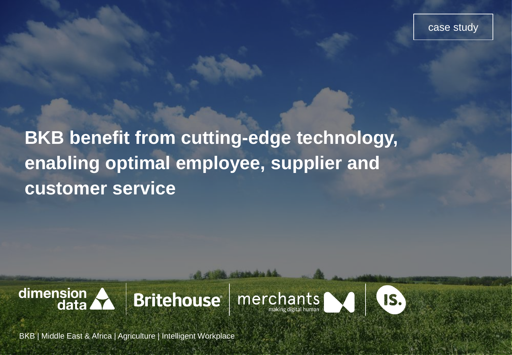case study

**BKB benefit from cutting-edge technology, enabling optimal employee, supplier and customer service** 









BKB | Middle East & Africa | Agriculture | Intelligent Workplace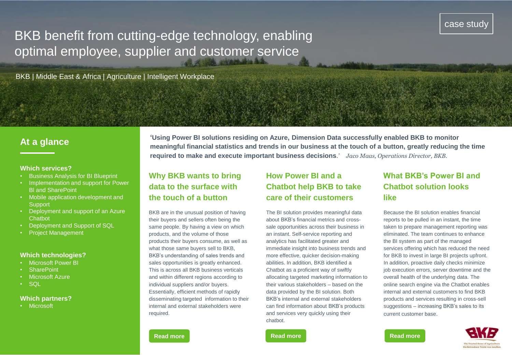# BKB benefit from cutting-edge technology, enabling optimal employee, supplier and customer service

BKB | Middle East & Africa | Agriculture | Intelligent Workplace

## **At a glance**

#### **Which services?**

- Business Analysis for BI Blueprint
- Implementation and support for Power Bl and SharePoint
- Mobile application development and **Support**
- Deployment and support of an Azure **Chatbot**
- Deployment and Support of SQL
- Project Management

#### **Which technologies?**

- Microsoft Power BI
- **SharePoint**
- Microsoft Azure
- SQL

#### **Which partners?**

• Microsoft

**'Using Power BI solutions residing on Azure, Dimension Data successfully enabled BKB to monitor meaningful financial statistics and trends in our business at the touch of a button, greatly reducing the time required to make and execute important business decisions***.' Jaco Maas, Operations Director, BKB.* 

### **Why BKB wants to bring data to the surface with the touch of a button**

BKB are in the unusual position of having their buyers and sellers often being the same people. By having a view on which products, and the volume of those products their buyers consume, as well as what those same buyers sell to BKB, BKB's understanding of sales trends and sales opportunities is greatly enhanced. This is across all BKB business verticals and within different regions according to individual suppliers and/or buyers. Essentially, efficient methods of rapidly disseminating targeted information to their internal and external stakeholders were required.

# **How Power BI and a Chatbot help BKB to take care of their customers**

The BI solution provides meaningful data about BKB's financial metrics and crosssale opportunities across their business in an instant. Self-service reporting and analytics has facilitated greater and immediate insight into business trends and more effective, quicker decision-making abilities. In addition, BKB identified a Chatbot as a proficient way of swiftly allocating targeted marketing information to their various stakeholders – based on the data provided by the BI solution. Both BKB's internal and external stakeholders can find information about BKB's products and services very quickly using their chatbot.

# **What BKB's Power BI and Chatbot solution looks like**

Because the BI solution enables financial reports to be pulled in an instant, the time taken to prepare management reporting was eliminated. The team continues to enhance the BI system as part of the managed services offering which has reduced the need for BKB to invest in large BI projects upfront. In addition, proactive daily checks minimize job execution errors, server downtime and the overall health of the underlying data. The online search engine via the Chatbot enables internal and external customers to find BKB products and services resulting in cross-sell suggestions – increasing BKB's sales to its current customer base.